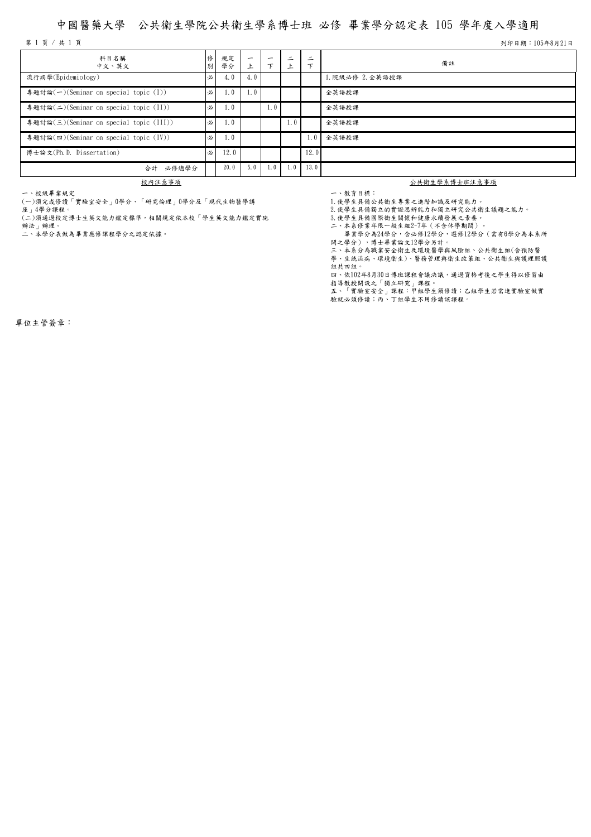## 中國醫藥大學 公共衛生學院公共衛生學系博士班 必修 畢業學分認定表 105 學年度入學適用

第 1 頁 / 共 1 頁 列印日期:105年8月21日

| 科目名稱<br>中文、英文                           | 別 | 規定<br>學分 | $\overline{\phantom{0}}$ | -   | $\overline{\phantom{0}}$<br>–<br>上 | ۰<br>- | 備註               |
|-----------------------------------------|---|----------|--------------------------|-----|------------------------------------|--------|------------------|
| 流行病學(Epidemiology)                      |   | 4.0      | 4. V                     |     |                                    |        | 1. 院級必修 2. 全英語授課 |
| 專題討論(一)(Seminar on special topic (I))   | 必 | 1.0      | 1. V                     |     |                                    |        | 全英語授課            |
| 專題討論(二)(Seminar on special topic (II))  | 必 | 1.0      |                          | 1.0 |                                    |        | 全英語授課            |
| 專題討論(三)(Seminar on special topic (III)) | 必 | 1.0      |                          |     | 1.0                                |        | 全英語授課            |
| 專題討論(四)(Seminar on special topic (IV))  | 必 | 1.0      |                          |     |                                    | 1.0    | 全英語授課            |
| 博士論文(Ph.D. Dissertation)                | 必 | 12.0     |                          |     |                                    | 12.0   |                  |
| 必修總學分<br>合計                             |   | 20.0     | 5.0                      | 1.0 | 1.0                                | 13.0   |                  |

一、校級畢業規定

(一)須完成修讀「實驗室安全」0學分、「研究倫理」0學分及「現代生物醫學講 座」4學分課程。

(二)須通過校定博士生英文能力鑑定標準,相關規定依本校「學生英文能力鑑定實施

辦法」辦理。

二、本學分表做為畢業應修課程學分之認定依據。

校內注意事項 初生 经进口的 经共产部 经共产部 经实际 经经济的 化对应量 经成本的

一、教育目標: 1.使學生具備公共衛生專業之進階知識及研究能力。

- .<br>2.使學生具備獨立的實證思辨能力和獨立研究公共衛生議題之能力。

3.使學生具備國際衛生關懷和健康永續發展之素養。

二、本系修業年限一般生組2~7年(不含休學期間)。

畢業學分為24學分,含必修12學分,選修12學分(需有6學分為本系所

開之學分),博士畢業論文12學分另計。

三、本系分為職業安全衛生及環境醫學與風險組、公共衛生組(含預防醫 學、生統流病、環境衛生)、醫務管理與衛生政策組、公共衛生與護理照護

組共四組。 四、依102年8月30日博班課程會議決議,通過資格考後之學生得以修習由

指導教授開設之「獨立研究」課程。

五、「實驗室安全」課程:甲組學生須修讀;乙組學生若需進實驗室做實 驗就必須修讀;丙、丁組學生不用修讀該課程。

單位主管簽章: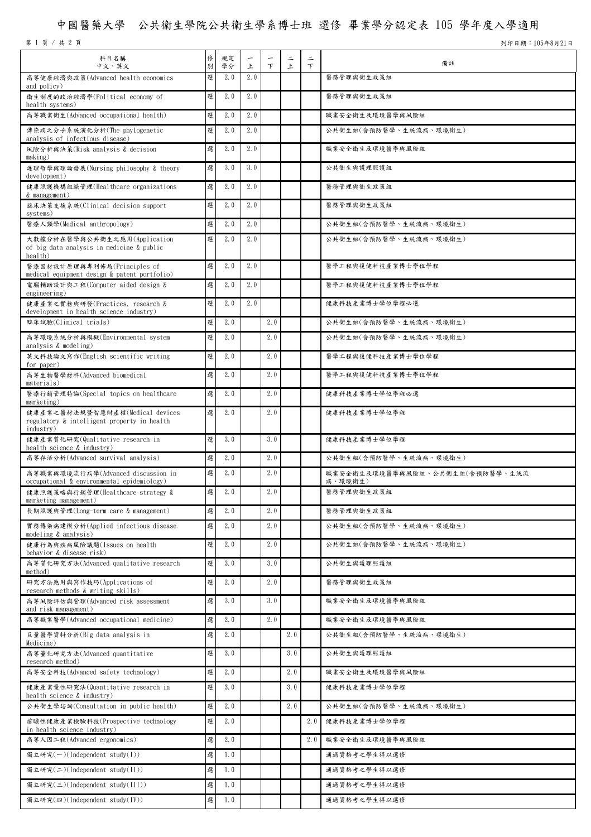## 中國醫藥大學 公共衛生學院公共衛生學系博士班 選修 畢業學分認定表 105 學年度入學適用

第 1 頁 / 共 2 頁 列印日期:105年8月21日

| 科目名稱<br>中文、英文                                                                               | 修<br>別 | 規定<br>學分 | $\overline{\phantom{0}}$<br>上 | 下   | $\equiv$<br>上 | $\equiv$<br>$\mathcal{F}$ | 備註                                         |
|---------------------------------------------------------------------------------------------|--------|----------|-------------------------------|-----|---------------|---------------------------|--------------------------------------------|
| 高等健康經濟與政策(Advanced health economics<br>and policy)                                          | 選      | 2.0      | 2.0                           |     |               |                           | 醫務管理與衛生政策組                                 |
| 衛生制度的政治經濟學(Political economy of<br>health systems)                                          | 選      | 2.0      | 2.0                           |     |               |                           | 醫務管理與衛生政策組                                 |
| 高等職業衛生(Advanced occupational health)                                                        | 選      | 2.0      | 2.0                           |     |               |                           | 職業安全衛生及環境醫學與風險組                            |
| 傳染病之分子系統演化分析(The phylogenetic<br>analysis of infectious disease)                            | 選      | 2.0      | 2.0                           |     |               |                           | 公共衛生組(含預防醫學、生統流病、環境衛生)                     |
| 風險分析與決策(Risk analysis & decision<br>making)                                                 | 選      | 2.0      | 2.0                           |     |               |                           | 職業安全衛生及環境醫學與風險組                            |
| 護理哲學與理論發展(Nursing philosophy & theory<br>development)                                       | 選      | 3.0      | 3.0                           |     |               |                           | 公共衛生與護理照護組                                 |
| 健康照護機構組織管理(Healthcare organizations<br>& management)                                        | 選      | 2.0      | 2.0                           |     |               |                           | 醫務管理與衛生政策組                                 |
| 臨床決策支援系統(Clinical decision support<br>systems)                                              | 選      | 2.0      | 2.0                           |     |               |                           | 醫務管理與衛生政策組                                 |
| 醫療人類學(Medical anthropology)                                                                 | 選      | 2.0      | 2.0                           |     |               |                           | 公共衛生組(含預防醫學、生統流病、環境衛生)                     |
| 大數據分析在醫學與公共衛生之應用(Application<br>of big data analysis in medicine & public<br>health)        | 選      | 2.0      | 2.0                           |     |               |                           | 公共衛生組(含預防醫學、生統流病、環境衛生)                     |
| 醫療器材設計原理與專利佈局(Principles of<br>medical equipment design & patent portfolio)                 | 選      | 2.0      | 2.0                           |     |               |                           | 醫學工程與復健科技產業博士學位學程                          |
| 電腦輔助設計與工程(Computer aided design &<br>engineering)                                           | 選      | 2.0      | 2.0                           |     |               |                           | 醫學工程與復健科技產業博士學位學程                          |
| 健康產業之實務與研發(Practices, research &<br>development in health science industry)                 | 選      | 2.0      | 2.0                           |     |               |                           | 健康科技產業博士學位學程必選                             |
| 臨床試驗(Clinical trials)                                                                       | 選      | 2.0      |                               | 2.0 |               |                           | 公共衛生組(含預防醫學、生統流病、環境衛生)                     |
| 高等環境系統分析與模擬(Environmental system<br>analysis $\&$ modeling)                                 | 選      | 2.0      |                               | 2.0 |               |                           | 公共衛生組(含預防醫學、生統流病、環境衛生)                     |
| 英文科技論文寫作(English scientific writing<br>for paper)                                           | 選      | 2.0      |                               | 2.0 |               |                           | 醫學工程與復健科技產業博士學位學程                          |
| 高等生物醫學材料(Advanced biomedical<br>materials)                                                  | 選      | 2.0      |                               | 2.0 |               |                           | 醫學工程與復健科技產業博士學位學程                          |
| 醫療行銷管理特論(Special topics on healthcare<br>marketing                                          | 選      | 2.0      |                               | 2.0 |               |                           | 健康科技產業博士學位學程必選                             |
| 健康產業之醫材法規暨智慧財產權(Medical devices<br>regulatory & intelligent property in health<br>industry) | 選      | 2.0      |                               | 2.0 |               |                           | 健康科技產業博士學位學程                               |
| 健康產業質化研究(Qualitative research in<br>health science & industry)                              | 選      | 3.0      |                               | 3.0 |               |                           | 健康科技產業博士學位學程                               |
| 高等存活分析(Advanced survival analysis)                                                          | 選      | 2.0      |                               | 2.0 |               |                           | 公共衛生組(含預防醫學、生統流病、環境衛生)                     |
| 高等職業與環境流行病學(Advanced discussion in<br>occupational & environmental epidemiology)            | 選      | 2.0      |                               | 2.0 |               |                           | 職業安全衛生及環境醫學與風險組、公共衛生組(含預防醫學、生統流<br>病、環境衛生) |
| 健康照護策略與行銷管理(Healthcare strategy &<br>marketing management)                                  | 選      | 2.0      |                               | 2.0 |               |                           | 醫務管理與衛生政策組                                 |
| 長期照護與管理(Long-term care & management)                                                        | 選      | 2.0      |                               | 2.0 |               |                           | 醫務管理與衛生政策組                                 |
| 實務傳染病建模分析(Applied infectious disease<br>modeling & analysis)                                | 選      | 2.0      |                               | 2.0 |               |                           | 公共衛生組(含預防醫學、生統流病、環境衛生)                     |
| 健康行為與疾病風險議題(Issues on health<br>behavior & disease risk)                                    | 選      | 2.0      |                               | 2.0 |               |                           | 公共衛生組(含預防醫學、生統流病、環境衛生)                     |
| 高等質化研究方法(Advanced qualitative research                                                      | 選      | 3.0      |                               | 3.0 |               |                           | 公共衛生與護理照護組                                 |
| method)<br>研究方法應用與寫作技巧(Applications of                                                      | 選      | 2.0      |                               | 2.0 |               |                           | 醫務管理與衛生政策組                                 |
| research methods & writing skills)<br>高等風險評估與管理(Advanced risk assessment                    | 選      | 3.0      |                               | 3.0 |               |                           | 職業安全衛生及環境醫學與風險組                            |
| and risk management)<br>高等職業醫學(Advanced occupational medicine)                              | 選      | 2.0      |                               | 2.0 |               |                           | 職業安全衛生及環境醫學與風險組                            |
| 巨量醫學資料分析(Big data analysis in                                                               | 選      | 2.0      |                               |     | 2.0           |                           | 公共衛生組(含預防醫學、生統流病、環境衛生)                     |
| Medicine)<br>高等量化研究方法(Advanced quantitative                                                 | 選      | 3.0      |                               |     | 3.0           |                           | 公共衛生與護理照護組                                 |
| research method)<br>高等安全科技(Advanced safety technology)                                      | 選      | 2.0      |                               |     | 2.0           |                           | 職業安全衛生及環境醫學與風險組                            |
| 健康產業量性研究法(Quantitative research in                                                          | 選      | 3.0      |                               |     | 3.0           |                           | 健康科技產業博士學位學程                               |
| health science & industry)<br>公共衛生學諮詢(Consultation in public health)                        | 選      | 2.0      |                               |     | 2.0           |                           | 公共衛生組(含預防醫學、生統流病、環境衛生)                     |
| 前瞻性健康產業檢驗科技(Prospective technology<br>in health science industry)                           | 選      | 2.0      |                               |     |               | 2.0                       | 健康科技產業博士學位學程                               |
| 高等人因工程(Advanced ergonomics)                                                                 | 選      | 2.0      |                               |     |               | 2.0                       | 職業安全衛生及環境醫學與風險組                            |
| 獨立研究(一)(Independent study(I))                                                               | 選      | 1.0      |                               |     |               |                           | 通過資格考之學生得以選修                               |
| 獨立研究(二)(Independent study(II))                                                              | 選      | 1.0      |                               |     |               |                           | 通過資格考之學生得以選修                               |
| 獨立研究(三)(Independent study(III))                                                             | 選      | 1.0      |                               |     |               |                           | 通過資格考之學生得以選修                               |
| 獨立研究(四)(Independent study(IV))                                                              | 選      | 1.0      |                               |     |               |                           | 通過資格考之學生得以選修                               |